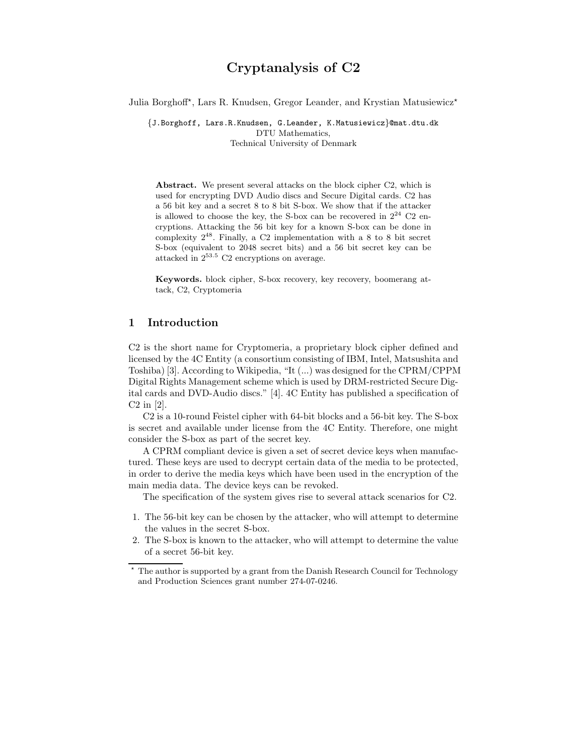# Cryptanalysis of C2

Julia Borghoff\*, Lars R. Knudsen, Gregor Leander, and Krystian Matusiewicz\*

{J.Borghoff, Lars.R.Knudsen, G.Leander, K.Matusiewicz}@mat.dtu.dk DTU Mathematics, Technical University of Denmark

Abstract. We present several attacks on the block cipher C2, which is used for encrypting DVD Audio discs and Secure Digital cards. C2 has a 56 bit key and a secret 8 to 8 bit S-box. We show that if the attacker is allowed to choose the key, the S-box can be recovered in  $2^{24}$  C2 encryptions. Attacking the 56 bit key for a known S-box can be done in complexity  $2^{48}$ . Finally, a C2 implementation with a 8 to 8 bit secret S-box (equivalent to 2048 secret bits) and a 56 bit secret key can be attacked in 2<sup>53</sup>.<sup>5</sup> C2 encryptions on average.

Keywords. block cipher, S-box recovery, key recovery, boomerang attack, C2, Cryptomeria

# 1 Introduction

C2 is the short name for Cryptomeria, a proprietary block cipher defined and licensed by the 4C Entity (a consortium consisting of IBM, Intel, Matsushita and Toshiba) [3]. According to Wikipedia, "It (...) was designed for the CPRM/CPPM Digital Rights Management scheme which is used by DRM-restricted Secure Digital cards and DVD-Audio discs." [4]. 4C Entity has published a specification of C2 in [2].

C2 is a 10-round Feistel cipher with 64-bit blocks and a 56-bit key. The S-box is secret and available under license from the 4C Entity. Therefore, one might consider the S-box as part of the secret key.

A CPRM compliant device is given a set of secret device keys when manufactured. These keys are used to decrypt certain data of the media to be protected, in order to derive the media keys which have been used in the encryption of the main media data. The device keys can be revoked.

The specification of the system gives rise to several attack scenarios for C2.

- 1. The 56-bit key can be chosen by the attacker, who will attempt to determine the values in the secret S-box.
- 2. The S-box is known to the attacker, who will attempt to determine the value of a secret 56-bit key.

 $^\star$  The author is supported by a grant from the Danish Research Council for Technology and Production Sciences grant number 274-07-0246.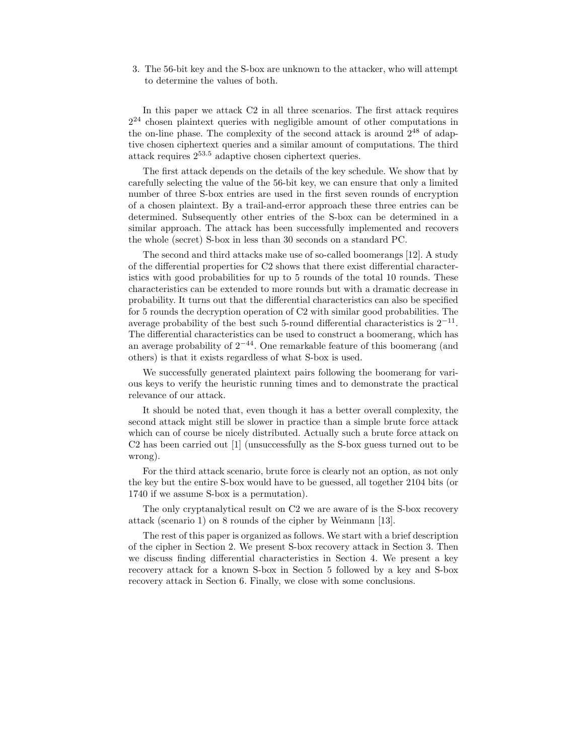3. The 56-bit key and the S-box are unknown to the attacker, who will attempt to determine the values of both.

In this paper we attack C2 in all three scenarios. The first attack requires  $2^{24}$  chosen plaintext queries with negligible amount of other computations in the on-line phase. The complexity of the second attack is around  $2^{48}$  of adaptive chosen ciphertext queries and a similar amount of computations. The third attack requires 2<sup>53</sup>.<sup>5</sup> adaptive chosen ciphertext queries.

The first attack depends on the details of the key schedule. We show that by carefully selecting the value of the 56-bit key, we can ensure that only a limited number of three S-box entries are used in the first seven rounds of encryption of a chosen plaintext. By a trail-and-error approach these three entries can be determined. Subsequently other entries of the S-box can be determined in a similar approach. The attack has been successfully implemented and recovers the whole (secret) S-box in less than 30 seconds on a standard PC.

The second and third attacks make use of so-called boomerangs [12]. A study of the differential properties for C2 shows that there exist differential characteristics with good probabilities for up to 5 rounds of the total 10 rounds. These characteristics can be extended to more rounds but with a dramatic decrease in probability. It turns out that the differential characteristics can also be specified for 5 rounds the decryption operation of C2 with similar good probabilities. The average probability of the best such 5-round differential characteristics is  $2^{-11}$ . The differential characteristics can be used to construct a boomerang, which has an average probability of  $2^{-44}$ . One remarkable feature of this boomerang (and others) is that it exists regardless of what S-box is used.

We successfully generated plaintext pairs following the boomerang for various keys to verify the heuristic running times and to demonstrate the practical relevance of our attack.

It should be noted that, even though it has a better overall complexity, the second attack might still be slower in practice than a simple brute force attack which can of course be nicely distributed. Actually such a brute force attack on C2 has been carried out [1] (unsuccessfully as the S-box guess turned out to be wrong).

For the third attack scenario, brute force is clearly not an option, as not only the key but the entire S-box would have to be guessed, all together 2104 bits (or 1740 if we assume S-box is a permutation).

The only cryptanalytical result on C2 we are aware of is the S-box recovery attack (scenario 1) on 8 rounds of the cipher by Weinmann [13].

The rest of this paper is organized as follows. We start with a brief description of the cipher in Section 2. We present S-box recovery attack in Section 3. Then we discuss finding differential characteristics in Section 4. We present a key recovery attack for a known S-box in Section 5 followed by a key and S-box recovery attack in Section 6. Finally, we close with some conclusions.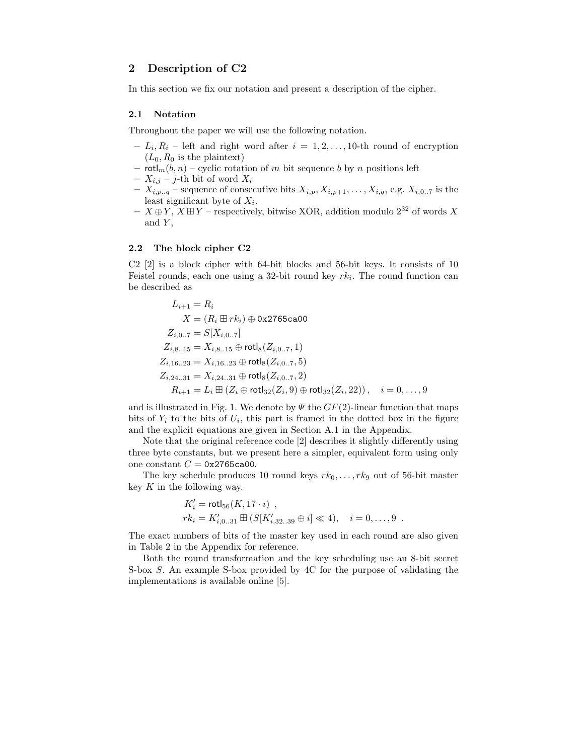# 2 Description of C2

In this section we fix our notation and present a description of the cipher.

#### 2.1 Notation

Throughout the paper we will use the following notation.

- $-L_i, R_i$  left and right word after  $i = 1, 2, ..., 10$ -th round of encryption  $(L_0, R_0$  is the plaintext)
- $\text{rotl}_m(b, n)$  cyclic rotation of m bit sequence b by n positions left
- $X_{i,j}$  j-th bit of word  $X_i$
- $X_{i,p,q}$  sequence of consecutive bits  $X_{i,p}, X_{i,p+1}, \ldots, X_{i,q}$ , e.g.  $X_{i,0..7}$  is the least significant byte of  $X_i$ .
- $X \oplus Y$ ,  $X \boxplus Y$  respectively, bitwise XOR, addition modulo  $2^{32}$  of words X and  $Y$ ,

#### 2.2 The block cipher C2

C2 [2] is a block cipher with 64-bit blocks and 56-bit keys. It consists of 10 Feistel rounds, each one using a 32-bit round key  $rk_i$ . The round function can be described as

$$
L_{i+1} = R_i
$$
  
\n
$$
X = (R_i \boxplus rk_i) \oplus 0 \times 2765 \text{ca00}
$$
  
\n
$$
Z_{i,0..7} = S[X_{i,0..7}]
$$
  
\n
$$
Z_{i,8..15} = X_{i,8..15} \oplus \text{rotl}_8(Z_{i,0..7}, 1)
$$
  
\n
$$
Z_{i,16..23} = X_{i,16..23} \oplus \text{rotl}_8(Z_{i,0..7}, 5)
$$
  
\n
$$
Z_{i,24..31} = X_{i,24..31} \oplus \text{rotl}_8(Z_{i,0..7}, 2)
$$
  
\n
$$
R_{i+1} = L_i \boxplus (Z_i \oplus \text{rotl}_{32}(Z_i, 9) \oplus \text{rotl}_{32}(Z_i, 22)), \quad i = 0, ..., 9
$$

and is illustrated in Fig. 1. We denote by  $\Psi$  the  $GF(2)$ -linear function that maps bits of  $Y_i$  to the bits of  $U_i$ , this part is framed in the dotted box in the figure and the explicit equations are given in Section A.1 in the Appendix.

Note that the original reference code [2] describes it slightly differently using three byte constants, but we present here a simpler, equivalent form using only one constant  $C = 0x2765c$ a00.

The key schedule produces 10 round keys  $rk_0, \ldots, rk_9$  out of 56-bit master key  $K$  in the following way.

$$
K'_{i} = \text{rotl}_{56}(K, 17 \cdot i) ,
$$
  
\n
$$
rk_{i} = K'_{i,0..31} \boxplus (S[K'_{i,32..39} \oplus i] \ll 4), \quad i = 0, ..., 9 .
$$

The exact numbers of bits of the master key used in each round are also given in Table 2 in the Appendix for reference.

Both the round transformation and the key scheduling use an 8-bit secret S-box S. An example S-box provided by 4C for the purpose of validating the implementations is available online [5].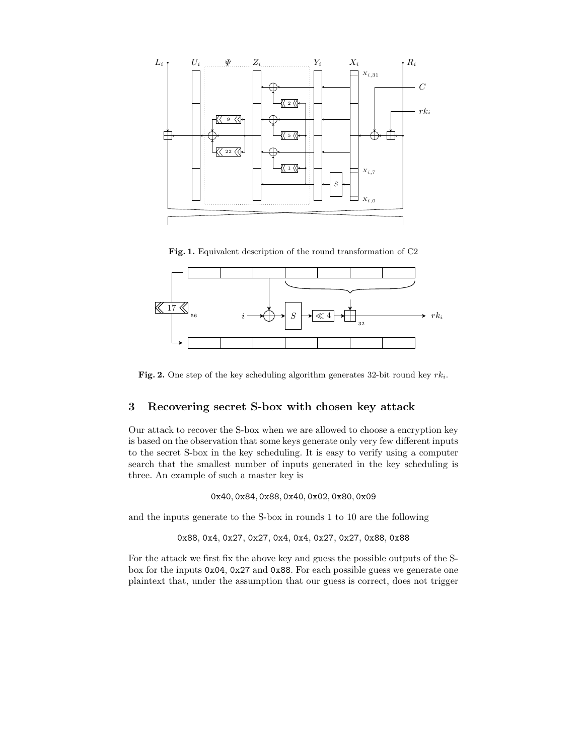

Fig. 1. Equivalent description of the round transformation of C2



Fig. 2. One step of the key scheduling algorithm generates 32-bit round key  $rk_i$ .

# 3 Recovering secret S-box with chosen key attack

Our attack to recover the S-box when we are allowed to choose a encryption key is based on the observation that some keys generate only very few different inputs to the secret S-box in the key scheduling. It is easy to verify using a computer search that the smallest number of inputs generated in the key scheduling is three. An example of such a master key is

0x40, 0x84, 0x88, 0x40, 0x02, 0x80, 0x09

and the inputs generate to the S-box in rounds 1 to 10 are the following

0x88, 0x4, 0x27, 0x27, 0x4, 0x4, 0x27, 0x27, 0x88, 0x88

For the attack we first fix the above key and guess the possible outputs of the Sbox for the inputs 0x04, 0x27 and 0x88. For each possible guess we generate one plaintext that, under the assumption that our guess is correct, does not trigger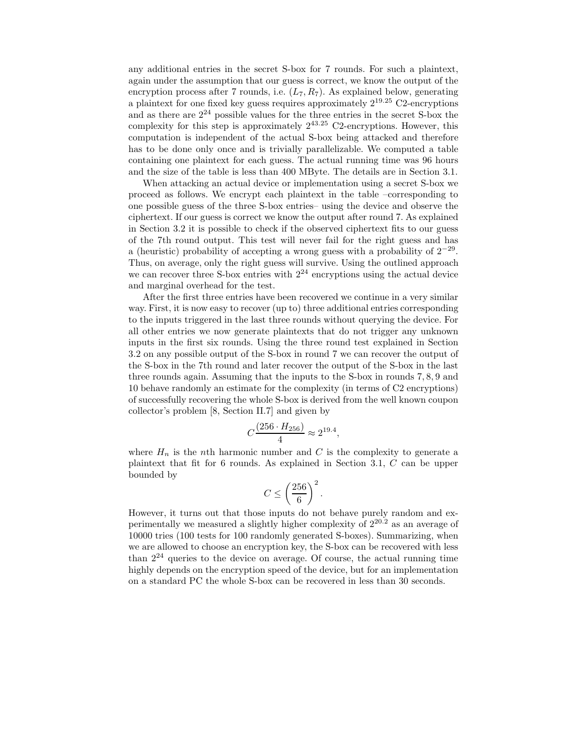any additional entries in the secret S-box for 7 rounds. For such a plaintext, again under the assumption that our guess is correct, we know the output of the encryption process after 7 rounds, i.e.  $(L_7, R_7)$ . As explained below, generating a plaintext for one fixed key guess requires approximately  $2^{19.25}$  C2-encryptions and as there are  $2^{24}$  possible values for the three entries in the secret S-box the complexity for this step is approximately  $2^{43.25}$  C2-encryptions. However, this computation is independent of the actual S-box being attacked and therefore has to be done only once and is trivially parallelizable. We computed a table containing one plaintext for each guess. The actual running time was 96 hours and the size of the table is less than 400 MByte. The details are in Section 3.1.

When attacking an actual device or implementation using a secret S-box we proceed as follows. We encrypt each plaintext in the table –corresponding to one possible guess of the three S-box entries– using the device and observe the ciphertext. If our guess is correct we know the output after round 7. As explained in Section 3.2 it is possible to check if the observed ciphertext fits to our guess of the 7th round output. This test will never fail for the right guess and has a (heuristic) probability of accepting a wrong guess with a probability of  $2^{-29}$ . Thus, on average, only the right guess will survive. Using the outlined approach we can recover three S-box entries with  $2^{24}$  encryptions using the actual device and marginal overhead for the test.

After the first three entries have been recovered we continue in a very similar way. First, it is now easy to recover (up to) three additional entries corresponding to the inputs triggered in the last three rounds without querying the device. For all other entries we now generate plaintexts that do not trigger any unknown inputs in the first six rounds. Using the three round test explained in Section 3.2 on any possible output of the S-box in round 7 we can recover the output of the S-box in the 7th round and later recover the output of the S-box in the last three rounds again. Assuming that the inputs to the S-box in rounds 7, 8, 9 and 10 behave randomly an estimate for the complexity (in terms of C2 encryptions) of successfully recovering the whole S-box is derived from the well known coupon collector's problem [8, Section II.7] and given by

$$
C\frac{(256 \cdot H_{256})}{4} \approx 2^{19.4},
$$

where  $H_n$  is the *nth* harmonic number and  $C$  is the complexity to generate a plaintext that fit for 6 rounds. As explained in Section 3.1, C can be upper bounded by

$$
C \le \left(\frac{256}{6}\right)^2.
$$

However, it turns out that those inputs do not behave purely random and experimentally we measured a slightly higher complexity of  $2^{20.2}$  as an average of 10000 tries (100 tests for 100 randomly generated S-boxes). Summarizing, when we are allowed to choose an encryption key, the S-box can be recovered with less than  $2^{24}$  queries to the device on average. Of course, the actual running time highly depends on the encryption speed of the device, but for an implementation on a standard PC the whole S-box can be recovered in less than 30 seconds.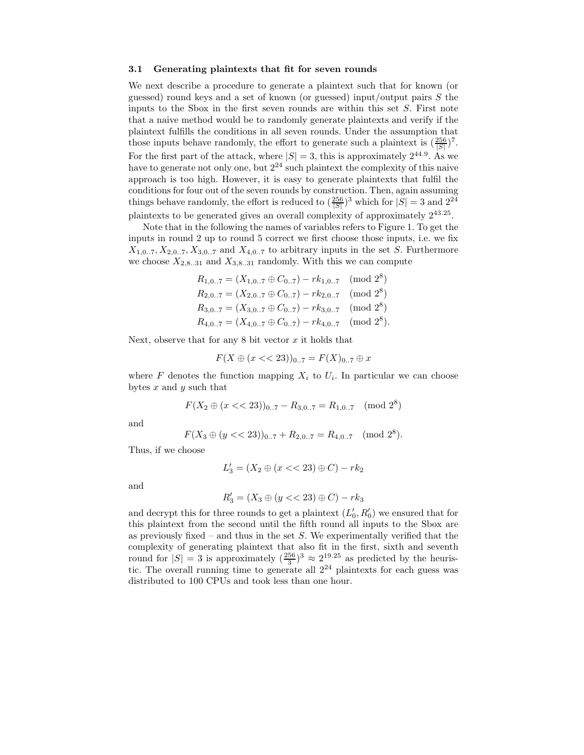#### 3.1 Generating plaintexts that fit for seven rounds

We next describe a procedure to generate a plaintext such that for known (or guessed) round keys and a set of known (or guessed) input/output pairs S the inputs to the Sbox in the first seven rounds are within this set  $S$ . First note that a naive method would be to randomly generate plaintexts and verify if the plaintext fulfills the conditions in all seven rounds. Under the assumption that those inputs behave randomly, the effort to generate such a plaintext is  $(\frac{256}{|S|})^7$ . For the first part of the attack, where  $|S| = 3$ , this is approximately  $2^{44.9}$ . As we have to generate not only one, but  $2^{24}$  such plaintext the complexity of this naive approach is too high. However, it is easy to generate plaintexts that fulfil the conditions for four out of the seven rounds by construction. Then, again assuming things behave randomly, the effort is reduced to  $(\frac{256}{|S|})^3$  which for  $|S| = 3$  and  $2^{24}$ plaintexts to be generated gives an overall complexity of approximately  $2^{43.25}$ .

Note that in the following the names of variables refers to Figure 1. To get the inputs in round 2 up to round 5 correct we first choose those inputs, i.e. we fix  $X_{1,0..7}, X_{2,0..7}, X_{3,0..7}$  and  $X_{4,0..7}$  to arbitrary inputs in the set S. Furthermore we choose  $X_{2,8..31}$  and  $X_{3,8..31}$  randomly. With this we can compute

$$
R_{1,0..7} = (X_{1,0..7} \oplus C_{0..7}) - rk_{1,0..7} \pmod{2^8}
$$
  
\n
$$
R_{2,0..7} = (X_{2,0..7} \oplus C_{0..7}) - rk_{2,0..7} \pmod{2^8}
$$
  
\n
$$
R_{3,0..7} = (X_{3,0..7} \oplus C_{0..7}) - rk_{3,0..7} \pmod{2^8}
$$
  
\n
$$
R_{4,0..7} = (X_{4,0..7} \oplus C_{0..7}) - rk_{4,0..7} \pmod{2^8}.
$$

Next, observe that for any  $8$  bit vector  $x$  it holds that

$$
F(X \oplus (x << 23))_{0..7} = F(X)_{0..7} \oplus x
$$

where  $F$  denotes the function mapping  $X_i$  to  $U_i$ . In particular we can choose bytes  $x$  and  $y$  such that

$$
F(X_2 \oplus (x < 23))_{0..7} - R_{3,0..7} = R_{1,0..7} \pmod{2^8}
$$

and

$$
F(X_3 \oplus (y << 23))_{0..7} + R_{2,0..7} = R_{4,0..7} \pmod{2^8}.
$$

Thus, if we choose

$$
L_3' = (X_2 \oplus (x \lt \lt 23) \oplus C) - rk_2
$$

and

$$
R'_3 = (X_3 \oplus (y << 23) \oplus C) - rk_3
$$

and decrypt this for three rounds to get a plaintext  $(L'_0, R'_0)$  we ensured that for this plaintext from the second until the fifth round all inputs to the Sbox are as previously fixed – and thus in the set  $S$ . We experimentally verified that the complexity of generating plaintext that also fit in the first, sixth and seventh round for  $|S| = 3$  is approximately  $(\frac{256}{3})^3 \approx 2^{19.25}$  as predicted by the heuristic. The overall running time to generate all  $2^{24}$  plaintexts for each guess was distributed to 100 CPUs and took less than one hour.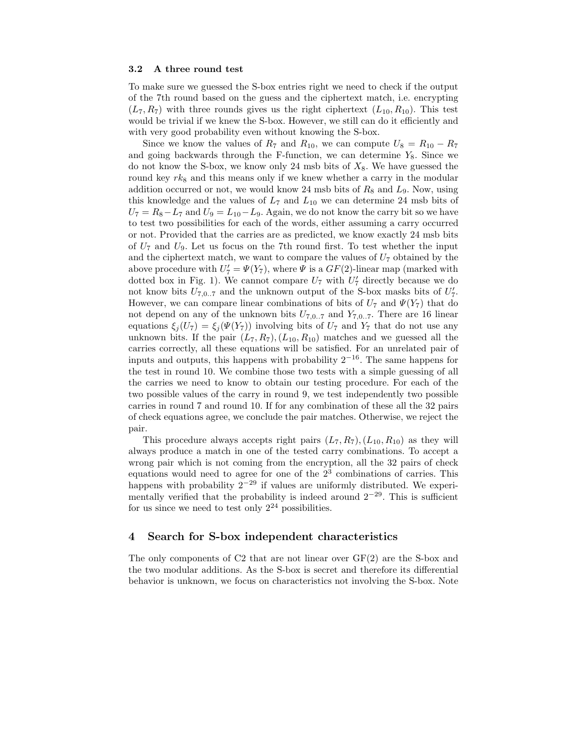#### 3.2 A three round test

To make sure we guessed the S-box entries right we need to check if the output of the 7th round based on the guess and the ciphertext match, i.e. encrypting  $(L_7, R_7)$  with three rounds gives us the right ciphertext  $(L_{10}, R_{10})$ . This test would be trivial if we knew the S-box. However, we still can do it efficiently and with very good probability even without knowing the S-box.

Since we know the values of  $R_7$  and  $R_{10}$ , we can compute  $U_8 = R_{10} - R_7$ and going backwards through the F-function, we can determine  $Y_8$ . Since we do not know the S-box, we know only 24 msb bits of  $X_8$ . We have guessed the round key  $rk_8$  and this means only if we knew whether a carry in the modular addition occurred or not, we would know 24 msb bits of  $R_8$  and  $L_9$ . Now, using this knowledge and the values of  $L_7$  and  $L_{10}$  we can determine 24 msb bits of  $U_7 = R_8 - L_7$  and  $U_9 = L_{10} - L_9$ . Again, we do not know the carry bit so we have to test two possibilities for each of the words, either assuming a carry occurred or not. Provided that the carries are as predicted, we know exactly 24 msb bits of  $U_7$  and  $U_9$ . Let us focus on the 7th round first. To test whether the input and the ciphertext match, we want to compare the values of  $U_7$  obtained by the above procedure with  $U_7' = \Psi(Y_7)$ , where  $\Psi$  is a  $GF(2)$ -linear map (marked with dotted box in Fig. 1). We cannot compare  $U_7$  with  $U'_7$  directly because we do not know bits  $U_{7,0..7}$  and the unknown output of the S-box masks bits of  $U'_7$ . However, we can compare linear combinations of bits of  $U_7$  and  $\Psi(Y_7)$  that do not depend on any of the unknown bits  $U_{7,0..7}$  and  $Y_{7,0..7}$ . There are 16 linear equations  $\xi_i(U_7) = \xi_i(\Psi(Y_7))$  involving bits of  $U_7$  and  $Y_7$  that do not use any unknown bits. If the pair  $(L_7, R_7), (L_{10}, R_{10})$  matches and we guessed all the carries correctly, all these equations will be satisfied. For an unrelated pair of inputs and outputs, this happens with probability  $2^{-16}$ . The same happens for the test in round 10. We combine those two tests with a simple guessing of all the carries we need to know to obtain our testing procedure. For each of the two possible values of the carry in round 9, we test independently two possible carries in round 7 and round 10. If for any combination of these all the 32 pairs of check equations agree, we conclude the pair matches. Otherwise, we reject the pair.

This procedure always accepts right pairs  $(L_7, R_7), (L_{10}, R_{10})$  as they will always produce a match in one of the tested carry combinations. To accept a wrong pair which is not coming from the encryption, all the 32 pairs of check equations would need to agree for one of the  $2<sup>3</sup>$  combinations of carries. This happens with probability  $2^{-29}$  if values are uniformly distributed. We experimentally verified that the probability is indeed around  $2^{-29}$ . This is sufficient for us since we need to test only  $2^{24}$  possibilities.

# 4 Search for S-box independent characteristics

The only components of C2 that are not linear over  $GF(2)$  are the S-box and the two modular additions. As the S-box is secret and therefore its differential behavior is unknown, we focus on characteristics not involving the S-box. Note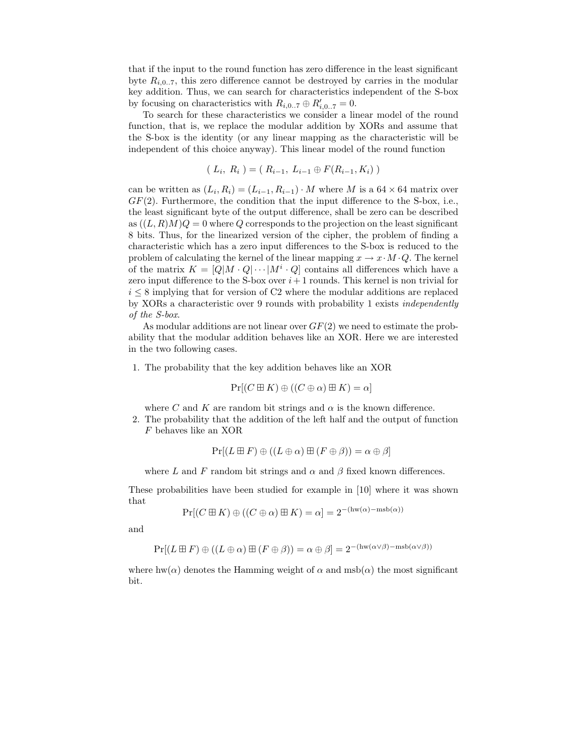that if the input to the round function has zero difference in the least significant byte  $R_{i,0..7}$ , this zero difference cannot be destroyed by carries in the modular key addition. Thus, we can search for characteristics independent of the S-box by focusing on characteristics with  $R_{i,0..7} \oplus R'_{i,0..7} = 0$ .

To search for these characteristics we consider a linear model of the round function, that is, we replace the modular addition by XORs and assume that the S-box is the identity (or any linear mapping as the characteristic will be independent of this choice anyway). This linear model of the round function

$$
(L_i, R_i) = (R_{i-1}, L_{i-1} \oplus F(R_{i-1}, K_i))
$$

can be written as  $(L_i, R_i) = (L_{i-1}, R_{i-1}) \cdot M$  where M is a 64 × 64 matrix over  $GF(2)$ . Furthermore, the condition that the input difference to the S-box, i.e., the least significant byte of the output difference, shall be zero can be described as  $((L, R)M)Q = 0$  where Q corresponds to the projection on the least significant 8 bits. Thus, for the linearized version of the cipher, the problem of finding a characteristic which has a zero input differences to the S-box is reduced to the problem of calculating the kernel of the linear mapping  $x \to x \cdot M \cdot Q$ . The kernel of the matrix  $K = [Q|M \cdot Q| \cdots | M^i \cdot Q]$  contains all differences which have a zero input difference to the S-box over  $i+1$  rounds. This kernel is non trivial for  $i \leq 8$  implying that for version of C2 where the modular additions are replaced by XORs a characteristic over 9 rounds with probability 1 exists independently of the S-box.

As modular additions are not linear over  $GF(2)$  we need to estimate the probability that the modular addition behaves like an XOR. Here we are interested in the two following cases.

1. The probability that the key addition behaves like an XOR

$$
\Pr[(C \boxplus K) \oplus ((C \oplus \alpha) \boxplus K) = \alpha]
$$

where C and K are random bit strings and  $\alpha$  is the known difference.

2. The probability that the addition of the left half and the output of function F behaves like an XOR

$$
\Pr[(L \boxplus F) \oplus ((L \oplus \alpha) \boxplus (F \oplus \beta)) = \alpha \oplus \beta]
$$

where L and F random bit strings and  $\alpha$  and  $\beta$  fixed known differences.

These probabilities have been studied for example in [10] where it was shown that

 $Pr[(C \boxplus K) \oplus ((C \oplus \alpha) \boxplus K) = \alpha] = 2^{-(\text{hw}(\alpha) - \text{msb}(\alpha))}$ 

and

$$
\Pr[(L \boxplus F) \oplus ((L \oplus \alpha) \boxplus (F \oplus \beta)) = \alpha \oplus \beta] = 2^{-(\text{hw}(\alpha \vee \beta) - \text{msb}(\alpha \vee \beta))}
$$

where hw( $\alpha$ ) denotes the Hamming weight of  $\alpha$  and msb( $\alpha$ ) the most significant bit.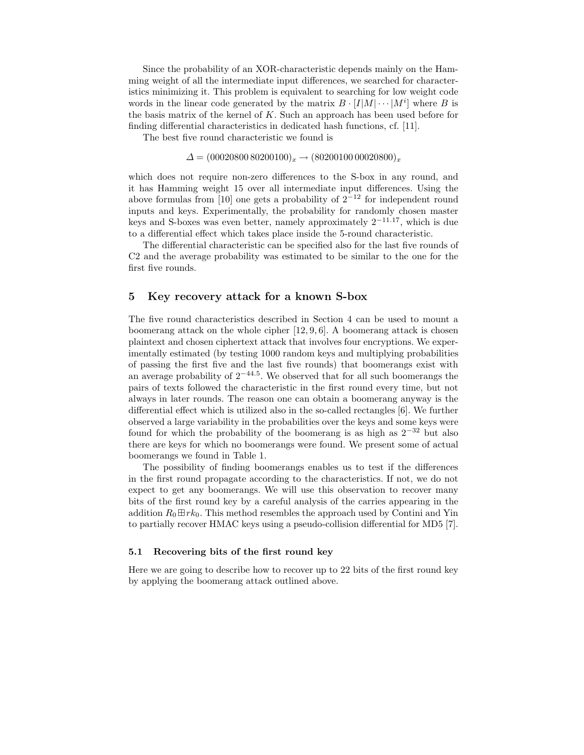Since the probability of an XOR-characteristic depends mainly on the Hamming weight of all the intermediate input differences, we searched for characteristics minimizing it. This problem is equivalent to searching for low weight code words in the linear code generated by the matrix  $B \cdot [I|M| \cdots |M^i]$  where B is the basis matrix of the kernel of  $K$ . Such an approach has been used before for finding differential characteristics in dedicated hash functions, cf. [11].

The best five round characteristic we found is

 $\Delta = (0002080080200100)_x \rightarrow (8020010000020800)_x$ 

which does not require non-zero differences to the S-box in any round, and it has Hamming weight 15 over all intermediate input differences. Using the above formulas from [10] one gets a probability of  $2^{-12}$  for independent round inputs and keys. Experimentally, the probability for randomly chosen master keys and S-boxes was even better, namely approximately  $2^{-11.17}$ , which is due to a differential effect which takes place inside the 5-round characteristic.

The differential characteristic can be specified also for the last five rounds of C2 and the average probability was estimated to be similar to the one for the first five rounds.

#### 5 Key recovery attack for a known S-box

The five round characteristics described in Section 4 can be used to mount a boomerang attack on the whole cipher  $[12, 9, 6]$ . A boomerang attack is chosen plaintext and chosen ciphertext attack that involves four encryptions. We experimentally estimated (by testing 1000 random keys and multiplying probabilities of passing the first five and the last five rounds) that boomerangs exist with an average probability of  $2^{-44.5}$ . We observed that for all such boomerangs the pairs of texts followed the characteristic in the first round every time, but not always in later rounds. The reason one can obtain a boomerang anyway is the differential effect which is utilized also in the so-called rectangles [6]. We further observed a large variability in the probabilities over the keys and some keys were found for which the probability of the boomerang is as high as  $2^{-32}$  but also there are keys for which no boomerangs were found. We present some of actual boomerangs we found in Table 1.

The possibility of finding boomerangs enables us to test if the differences in the first round propagate according to the characteristics. If not, we do not expect to get any boomerangs. We will use this observation to recover many bits of the first round key by a careful analysis of the carries appearing in the addition  $R_0 \boxplus r k_0$ . This method resembles the approach used by Contini and Yin to partially recover HMAC keys using a pseudo-collision differential for MD5 [7].

#### 5.1 Recovering bits of the first round key

Here we are going to describe how to recover up to 22 bits of the first round key by applying the boomerang attack outlined above.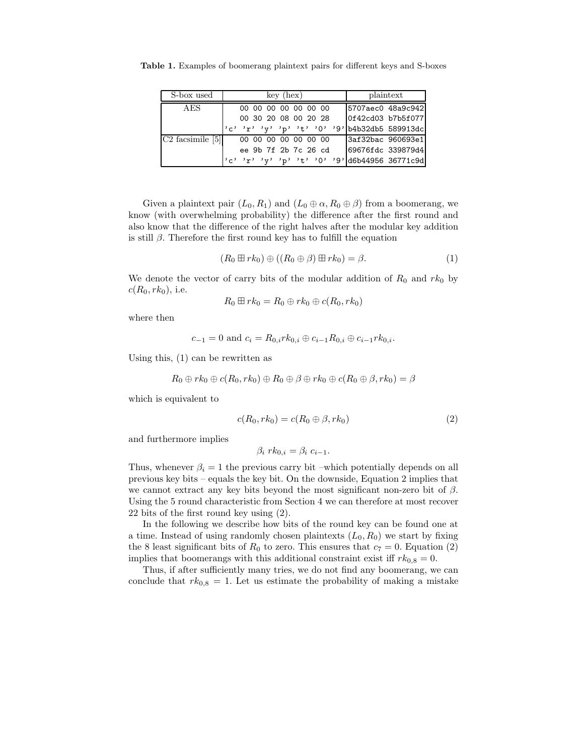Table 1. Examples of boomerang plaintext pairs for different keys and S-boxes

| S-box used         | $key$ (hex)                                    | plaintext         |
|--------------------|------------------------------------------------|-------------------|
| AES                | 00 00 00 00 00 00 00                           | 5707aec0 48a9c942 |
|                    | 00 30 20 08 00 20 28                           | 0f42cd03 b7b5f077 |
|                    | $c'$ 'r' 'y' 'p' 't' '0' '9' b4b32db5 589913dc |                   |
| $C2$ facsimile [5] | 00 00 00 00 00 00 00                           | 3af32bac 960693e1 |
|                    | ee 9b 7f 2b 7c 26 cd                           | 69676fdc 339879d4 |
|                    | $ c''r''r''r''r''r''t''0''9 d6b44956 36771c9d$ |                   |

Given a plaintext pair  $(L_0, R_1)$  and  $(L_0 \oplus \alpha, R_0 \oplus \beta)$  from a boomerang, we know (with overwhelming probability) the difference after the first round and also know that the difference of the right halves after the modular key addition is still  $\beta$ . Therefore the first round key has to fulfill the equation

$$
(R_0 \boxplus rk_0) \oplus ((R_0 \oplus \beta) \boxplus rk_0) = \beta. \tag{1}
$$

We denote the vector of carry bits of the modular addition of  $R_0$  and  $rk_0$  by  $c(R_0, rk_0)$ , i.e.

$$
R_0 \boxplus rk_0 = R_0 \oplus rk_0 \oplus c(R_0, rk_0)
$$

where then

$$
c_{-1} = 0
$$
 and  $c_i = R_{0,i}rk_{0,i} \oplus c_{i-1}R_{0,i} \oplus c_{i-1}rk_{0,i}.$ 

Using this, (1) can be rewritten as

$$
R_0 \oplus rk_0 \oplus c(R_0, rk_0) \oplus R_0 \oplus \beta \oplus rk_0 \oplus c(R_0 \oplus \beta, rk_0) = \beta
$$

which is equivalent to

$$
c(R_0, rk_0) = c(R_0 \oplus \beta, rk_0) \tag{2}
$$

and furthermore implies

$$
\beta_i \, rk_{0,i} = \beta_i \, c_{i-1}.
$$

Thus, whenever  $\beta_i = 1$  the previous carry bit –which potentially depends on all previous key bits – equals the key bit. On the downside, Equation 2 implies that we cannot extract any key bits beyond the most significant non-zero bit of  $\beta$ . Using the 5 round characteristic from Section 4 we can therefore at most recover 22 bits of the first round key using (2).

In the following we describe how bits of the round key can be found one at a time. Instead of using randomly chosen plaintexts  $(L_0, R_0)$  we start by fixing the 8 least significant bits of  $R_0$  to zero. This ensures that  $c_7 = 0$ . Equation (2) implies that boomerangs with this additional constraint exist iff  $rk_{0.8} = 0$ .

Thus, if after sufficiently many tries, we do not find any boomerang, we can conclude that  $rk_{0,8} = 1$ . Let us estimate the probability of making a mistake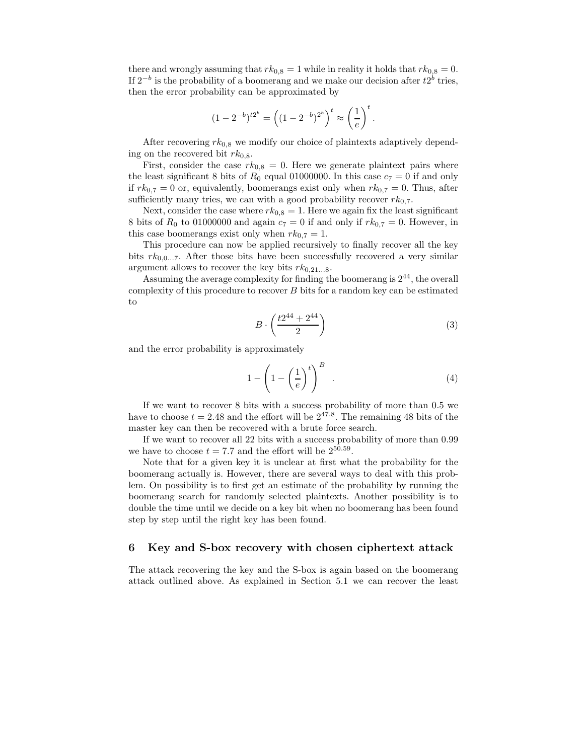there and wrongly assuming that  $rk_{0,8} = 1$  while in reality it holds that  $rk_{0,8} = 0$ . If  $2^{-b}$  is the probability of a boomerang and we make our decision after  $t2^b$  tries, then the error probability can be approximated by

$$
(1 - 2^{-b})^{t2^{b}} = \left( (1 - 2^{-b})^{2^{b}} \right)^{t} \approx \left( \frac{1}{e} \right)^{t}.
$$

After recovering  $rk_{0,8}$  we modify our choice of plaintexts adaptively depending on the recovered bit  $rk_{0,8}$ .

First, consider the case  $rk_{0,8} = 0$ . Here we generate plaintext pairs where the least significant 8 bits of  $R_0$  equal 01000000. In this case  $c_7 = 0$  if and only if  $rk_{0,7} = 0$  or, equivalently, boomerangs exist only when  $rk_{0,7} = 0$ . Thus, after sufficiently many tries, we can with a good probability recover  $rk_{0,7}$ .

Next, consider the case where  $rk_{0,8} = 1$ . Here we again fix the least significant 8 bits of  $R_0$  to 01000000 and again  $c_7 = 0$  if and only if  $rk_{0,7} = 0$ . However, in this case boomerangs exist only when  $rk_{0,7} = 1$ .

This procedure can now be applied recursively to finally recover all the key bits  $rk_{0,0...7}$ . After those bits have been successfully recovered a very similar argument allows to recover the key bits  $rk_{0,21...8}$ .

Assuming the average complexity for finding the boomerang is 2 <sup>44</sup>, the overall complexity of this procedure to recover B bits for a random key can be estimated to

$$
B \cdot \left(\frac{t2^{44} + 2^{44}}{2}\right) \tag{3}
$$

and the error probability is approximately

$$
1 - \left(1 - \left(\frac{1}{e}\right)^t\right)^B \tag{4}
$$

If we want to recover 8 bits with a success probability of more than 0.5 we have to choose  $t = 2.48$  and the effort will be  $2^{47.8}$ . The remaining 48 bits of the master key can then be recovered with a brute force search.

If we want to recover all 22 bits with a success probability of more than 0.99 we have to choose  $t = 7.7$  and the effort will be  $2^{50.59}$ .

Note that for a given key it is unclear at first what the probability for the boomerang actually is. However, there are several ways to deal with this problem. On possibility is to first get an estimate of the probability by running the boomerang search for randomly selected plaintexts. Another possibility is to double the time until we decide on a key bit when no boomerang has been found step by step until the right key has been found.

# 6 Key and S-box recovery with chosen ciphertext attack

The attack recovering the key and the S-box is again based on the boomerang attack outlined above. As explained in Section 5.1 we can recover the least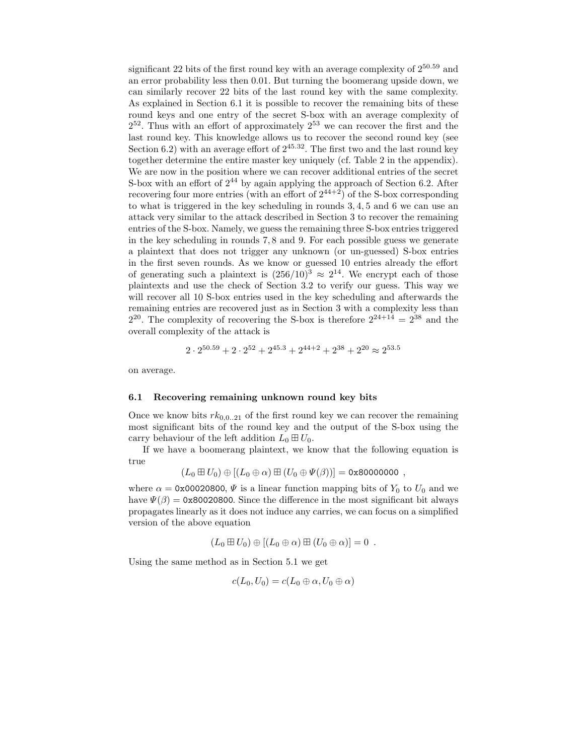significant 22 bits of the first round key with an average complexity of  $2^{50.59}$  and an error probability less then 0.01. But turning the boomerang upside down, we can similarly recover 22 bits of the last round key with the same complexity. As explained in Section 6.1 it is possible to recover the remaining bits of these round keys and one entry of the secret S-box with an average complexity of 2 <sup>52</sup>. Thus with an effort of approximately 2<sup>53</sup> we can recover the first and the last round key. This knowledge allows us to recover the second round key (see Section 6.2) with an average effort of  $2^{45.32}$ . The first two and the last round key together determine the entire master key uniquely (cf. Table 2 in the appendix). We are now in the position where we can recover additional entries of the secret S-box with an effort of  $2^{44}$  by again applying the approach of Section 6.2. After recovering four more entries (with an effort of  $2^{44+2}$ ) of the S-box corresponding to what is triggered in the key scheduling in rounds 3, 4, 5 and 6 we can use an attack very similar to the attack described in Section 3 to recover the remaining entries of the S-box. Namely, we guess the remaining three S-box entries triggered in the key scheduling in rounds 7, 8 and 9. For each possible guess we generate a plaintext that does not trigger any unknown (or un-guessed) S-box entries in the first seven rounds. As we know or guessed 10 entries already the effort of generating such a plaintext is  $(256/10)^3 \approx 2^{14}$ . We encrypt each of those plaintexts and use the check of Section 3.2 to verify our guess. This way we will recover all 10 S-box entries used in the key scheduling and afterwards the remaining entries are recovered just as in Section 3 with a complexity less than  $2^{20}$ . The complexity of recovering the S-box is therefore  $2^{24+14} = 2^{38}$  and the overall complexity of the attack is

$$
2\cdot 2^{50.59}+2\cdot 2^{52}+2^{45.3}+2^{44+2}+2^{38}+2^{20}\approx 2^{53.5}
$$

on average.

#### 6.1 Recovering remaining unknown round key bits

Once we know bits  $rk_{0,0..21}$  of the first round key we can recover the remaining most significant bits of the round key and the output of the S-box using the carry behaviour of the left addition  $L_0 \boxplus U_0$ .

If we have a boomerang plaintext, we know that the following equation is true

$$
(L_0 \boxplus U_0) \oplus [(L_0 \oplus \alpha) \boxplus (U_0 \oplus \Psi(\beta))] = 0 \times 800000000 ,
$$

where  $\alpha = 0 \times 00020800$ ,  $\Psi$  is a linear function mapping bits of  $Y_0$  to  $U_0$  and we have  $\Psi(\beta) = 0 \times 80020800$ . Since the difference in the most significant bit always propagates linearly as it does not induce any carries, we can focus on a simplified version of the above equation

$$
(L_0 \boxplus U_0) \oplus [(L_0 \oplus \alpha) \boxplus (U_0 \oplus \alpha)] = 0.
$$

Using the same method as in Section 5.1 we get

$$
c(L_0, U_0) = c(L_0 \oplus \alpha, U_0 \oplus \alpha)
$$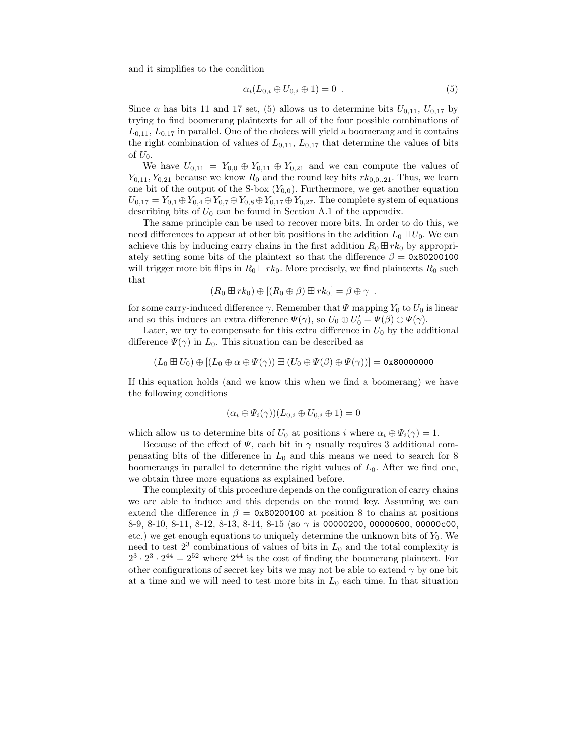and it simplifies to the condition

$$
\alpha_i(L_{0,i} \oplus U_{0,i} \oplus 1) = 0 . \qquad (5)
$$

Since  $\alpha$  has bits 11 and 17 set, (5) allows us to determine bits  $U_{0,11}$ ,  $U_{0,17}$  by trying to find boomerang plaintexts for all of the four possible combinations of  $L_{0,11}$ ,  $L_{0,17}$  in parallel. One of the choices will yield a boomerang and it contains the right combination of values of  $L_{0,11}$ ,  $L_{0,17}$  that determine the values of bits of  $U_0$ .

We have  $U_{0,11} = Y_{0,0} \oplus Y_{0,11} \oplus Y_{0,21}$  and we can compute the values of  $Y_{0,11}, Y_{0,21}$  because we know  $R_0$  and the round key bits  $rk_{0,0..21}$ . Thus, we learn one bit of the output of the S-box  $(Y_{0,0})$ . Furthermore, we get another equation  $U_{0,17} = Y_{0,1} \oplus Y_{0,4} \oplus Y_{0,7} \oplus Y_{0,8} \oplus Y_{0,17} \oplus Y_{0,27}$ . The complete system of equations describing bits of  $U_0$  can be found in Section A.1 of the appendix.

The same principle can be used to recover more bits. In order to do this, we need differences to appear at other bit positions in the addition  $L_0 \boxplus U_0$ . We can achieve this by inducing carry chains in the first addition  $R_0 \boxplus r k_0$  by appropriately setting some bits of the plaintext so that the difference  $\beta = 0x80200100$ will trigger more bit flips in  $R_0 \boxplus r k_0$ . More precisely, we find plaintexts  $R_0$  such that

$$
(R_0 \boxplus rk_0) \oplus [(R_0 \oplus \beta) \boxplus rk_0] = \beta \oplus \gamma .
$$

for some carry-induced difference  $\gamma$ . Remember that  $\Psi$  mapping  $Y_0$  to  $U_0$  is linear and so this induces an extra difference  $\Psi(\gamma)$ , so  $U_0 \oplus U'_0 = \Psi(\beta) \oplus \Psi(\gamma)$ .

Later, we try to compensate for this extra difference in  $U_0$  by the additional difference  $\Psi(\gamma)$  in  $L_0$ . This situation can be described as

$$
(L_0 \boxplus U_0) \oplus [(L_0 \oplus \alpha \oplus \Psi(\gamma)) \boxplus (U_0 \oplus \Psi(\beta) \oplus \Psi(\gamma))] = 0 \text{x} 80000000
$$

If this equation holds (and we know this when we find a boomerang) we have the following conditions

$$
(\alpha_i \oplus \Psi_i(\gamma))(L_{0,i} \oplus U_{0,i} \oplus 1) = 0
$$

which allow us to determine bits of  $U_0$  at positions i where  $\alpha_i \oplus \Psi_i(\gamma) = 1$ .

Because of the effect of  $\Psi$ , each bit in  $\gamma$  usually requires 3 additional compensating bits of the difference in  $L_0$  and this means we need to search for 8 boomerangs in parallel to determine the right values of  $L_0$ . After we find one, we obtain three more equations as explained before.

The complexity of this procedure depends on the configuration of carry chains we are able to induce and this depends on the round key. Assuming we can extend the difference in  $\beta = 0 \times 80200100$  at position 8 to chains at positions 8-9, 8-10, 8-11, 8-12, 8-13, 8-14, 8-15 (so γ is 00000200, 00000600, 00000c00, etc.) we get enough equations to uniquely determine the unknown bits of  $Y_0$ . We need to test  $2<sup>3</sup>$  combinations of values of bits in  $L_0$  and the total complexity is  $2^3 \cdot 2^3 \cdot 2^{44} = 2^{52}$  where  $2^{44}$  is the cost of finding the boomerang plaintext. For other configurations of secret key bits we may not be able to extend  $\gamma$  by one bit at a time and we will need to test more bits in  $L_0$  each time. In that situation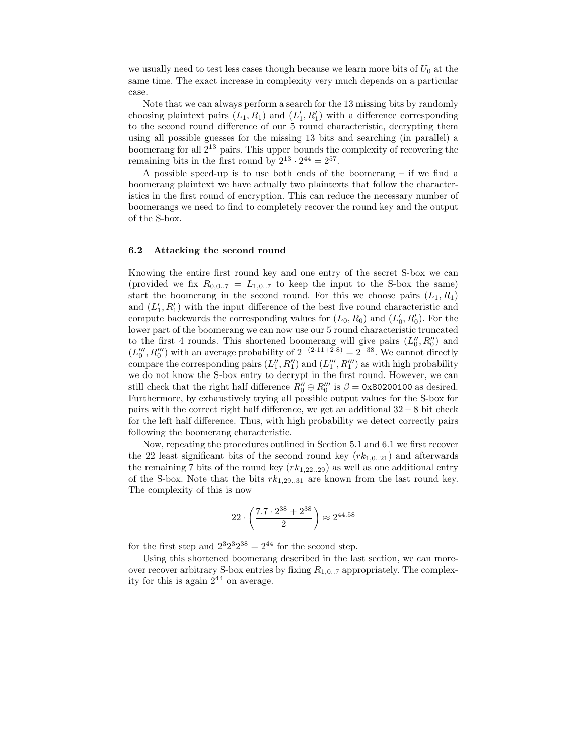we usually need to test less cases though because we learn more bits of  $U_0$  at the same time. The exact increase in complexity very much depends on a particular case.

Note that we can always perform a search for the 13 missing bits by randomly choosing plaintext pairs  $(L_1, R_1)$  and  $(L'_1, R'_1)$  with a difference corresponding to the second round difference of our 5 round characteristic, decrypting them using all possible guesses for the missing 13 bits and searching (in parallel) a boomerang for all  $2^{13}$  pairs. This upper bounds the complexity of recovering the remaining bits in the first round by  $2^{13} \cdot 2^{44} = 2^{57}$ .

A possible speed-up is to use both ends of the boomerang – if we find a boomerang plaintext we have actually two plaintexts that follow the characteristics in the first round of encryption. This can reduce the necessary number of boomerangs we need to find to completely recover the round key and the output of the S-box.

#### 6.2 Attacking the second round

Knowing the entire first round key and one entry of the secret S-box we can (provided we fix  $R_{0,0..7} = L_{1,0..7}$  to keep the input to the S-box the same) start the boomerang in the second round. For this we choose pairs  $(L_1, R_1)$ and  $(L'_1, R'_1)$  with the input difference of the best five round characteristic and compute backwards the corresponding values for  $(L_0, R_0)$  and  $(L'_0, R'_0)$ . For the lower part of the boomerang we can now use our 5 round characteristic truncated to the first 4 rounds. This shortened boomerang will give pairs  $(L''_0, R''_0)$  and  $(L_0''', R_0''')$  with an average probability of  $2^{-(2 \cdot 11 + 2 \cdot 8)} = 2^{-38}$ . We cannot directly compare the corresponding pairs  $(L''_1, R''_1)$  and  $(L'''_1, R'''_1)$  as with high probability we do not know the S-box entry to decrypt in the first round. However, we can still check that the right half difference  $R''_0 \oplus R'''_0$  is  $\beta = 0 \times 80200100$  as desired. Furthermore, by exhaustively trying all possible output values for the S-box for pairs with the correct right half difference, we get an additional  $32 - 8$  bit check for the left half difference. Thus, with high probability we detect correctly pairs following the boomerang characteristic.

Now, repeating the procedures outlined in Section 5.1 and 6.1 we first recover the 22 least significant bits of the second round key  $(rk_{1,0..21})$  and afterwards the remaining 7 bits of the round key  $(rk_{1,22..29})$  as well as one additional entry of the S-box. Note that the bits  $rk_{1,29..31}$  are known from the last round key. The complexity of this is now

$$
22 \cdot \left(\frac{7.7 \cdot 2^{38} + 2^{38}}{2}\right) \approx 2^{44.58}
$$

for the first step and  $2^3 2^3 2^{38} = 2^{44}$  for the second step.

Using this shortened boomerang described in the last section, we can moreover recover arbitrary S-box entries by fixing  $R_{1,0..7}$  appropriately. The complexity for this is again  $2^{44}$  on average.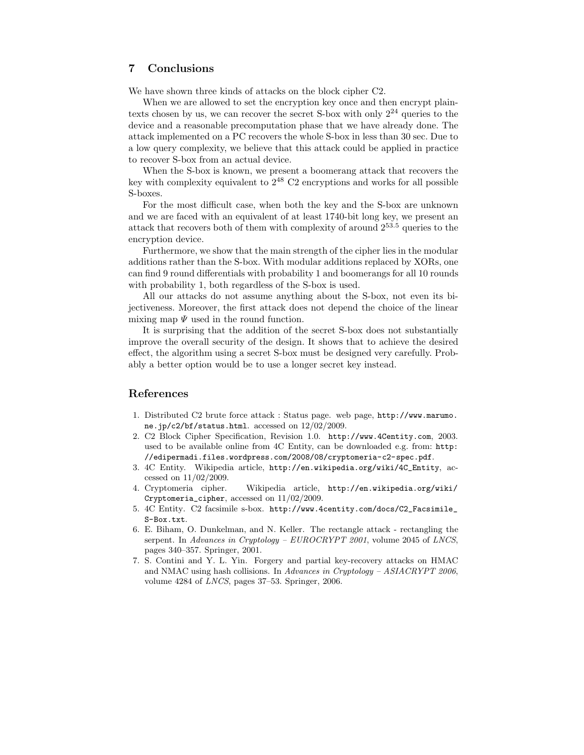# 7 Conclusions

We have shown three kinds of attacks on the block cipher C2.

When we are allowed to set the encryption key once and then encrypt plaintexts chosen by us, we can recover the secret S-box with only  $2^{24}$  queries to the device and a reasonable precomputation phase that we have already done. The attack implemented on a PC recovers the whole S-box in less than 30 sec. Due to a low query complexity, we believe that this attack could be applied in practice to recover S-box from an actual device.

When the S-box is known, we present a boomerang attack that recovers the key with complexity equivalent to  $2^{48}$  C2 encryptions and works for all possible S-boxes.

For the most difficult case, when both the key and the S-box are unknown and we are faced with an equivalent of at least 1740-bit long key, we present an attack that recovers both of them with complexity of around 2<sup>53</sup>.<sup>5</sup> queries to the encryption device.

Furthermore, we show that the main strength of the cipher lies in the modular additions rather than the S-box. With modular additions replaced by XORs, one can find 9 round differentials with probability 1 and boomerangs for all 10 rounds with probability 1, both regardless of the S-box is used.

All our attacks do not assume anything about the S-box, not even its bijectiveness. Moreover, the first attack does not depend the choice of the linear mixing map  $\Psi$  used in the round function.

It is surprising that the addition of the secret S-box does not substantially improve the overall security of the design. It shows that to achieve the desired effect, the algorithm using a secret S-box must be designed very carefully. Probably a better option would be to use a longer secret key instead.

# References

- 1. Distributed C2 brute force attack : Status page. web page, http://www.marumo. ne.jp/c2/bf/status.html. accessed on 12/02/2009.
- 2. C2 Block Cipher Specification, Revision 1.0. http://www.4Centity.com, 2003. used to be available online from 4C Entity, can be downloaded e.g. from: http: //edipermadi.files.wordpress.com/2008/08/cryptomeria-c2-spec.pdf.
- 3. 4C Entity. Wikipedia article, http://en.wikipedia.org/wiki/4C\_Entity, accessed on 11/02/2009.
- 4. Cryptomeria cipher. Wikipedia article, http://en.wikipedia.org/wiki/ Cryptomeria\_cipher, accessed on 11/02/2009.
- 5. 4C Entity. C2 facsimile s-box. http://www.4centity.com/docs/C2\_Facsimile\_ S-Box.txt.
- 6. E. Biham, O. Dunkelman, and N. Keller. The rectangle attack rectangling the serpent. In Advances in Cryptology – EUROCRYPT 2001, volume 2045 of LNCS, pages 340–357. Springer, 2001.
- 7. S. Contini and Y. L. Yin. Forgery and partial key-recovery attacks on HMAC and NMAC using hash collisions. In Advances in Cryptology – ASIACRYPT 2006, volume 4284 of LNCS, pages 37–53. Springer, 2006.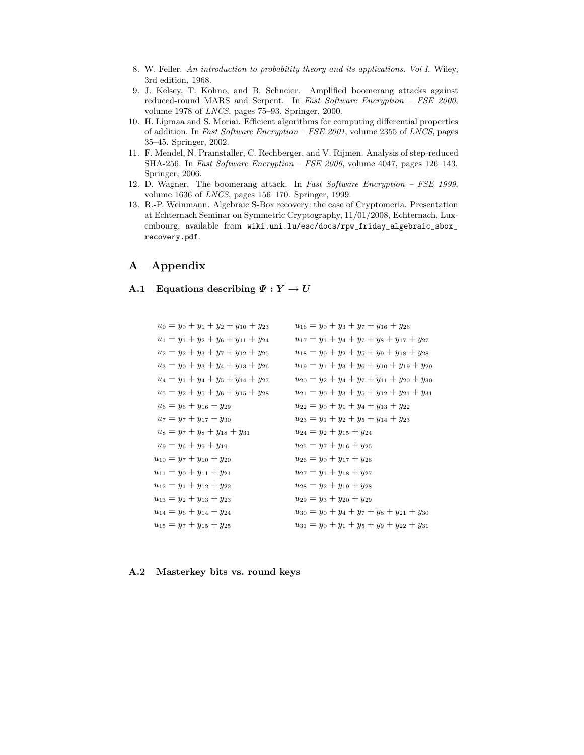- 8. W. Feller. An introduction to probability theory and its applications. Vol I. Wiley, 3rd edition, 1968.
- 9. J. Kelsey, T. Kohno, and B. Schneier. Amplified boomerang attacks against reduced-round MARS and Serpent. In Fast Software Encryption – FSE 2000, volume 1978 of LNCS, pages 75–93. Springer, 2000.
- 10. H. Lipmaa and S. Moriai. Efficient algorithms for computing differential properties of addition. In Fast Software Encryption – FSE 2001, volume 2355 of LNCS, pages 35–45. Springer, 2002.
- 11. F. Mendel, N. Pramstaller, C. Rechberger, and V. Rijmen. Analysis of step-reduced SHA-256. In Fast Software Encryption – FSE 2006, volume 4047, pages 126–143. Springer, 2006.
- 12. D. Wagner. The boomerang attack. In Fast Software Encryption FSE 1999, volume 1636 of LNCS, pages 156–170. Springer, 1999.
- 13. R.-P. Weinmann. Algebraic S-Box recovery: the case of Cryptomeria. Presentation at Echternach Seminar on Symmetric Cryptography, 11/01/2008, Echternach, Luxembourg, available from wiki.uni.lu/esc/docs/rpw\_friday\_algebraic\_sbox\_ recovery.pdf.

# A Appendix

# A.1 Equations describing  $\Psi: Y \to U$

| $u_0 = y_0 + y_1 + y_2 + y_{10} + y_{23}$ | $u_{16} = y_0 + y_3 + y_7 + y_{16} + y_{26}$          |
|-------------------------------------------|-------------------------------------------------------|
| $u_1 = y_1 + y_2 + y_6 + y_{11} + y_{24}$ | $u_{17} = y_1 + y_4 + y_7 + y_8 + y_{17} + y_{27}$    |
| $u_2 = y_2 + y_3 + y_7 + y_{12} + y_{25}$ | $u_{18} = y_0 + y_2 + y_5 + y_9 + y_{18} + y_{28}$    |
| $u_3 = y_0 + y_3 + y_4 + y_{13} + y_{26}$ | $u_{19} = y_1 + y_3 + y_6 + y_{10} + y_{19} + y_{29}$ |
| $u_4 = y_1 + y_4 + y_5 + y_{14} + y_{27}$ | $u_{20} = y_2 + y_4 + y_7 + y_{11} + y_{20} + y_{30}$ |
| $u_5 = y_2 + y_5 + y_6 + y_{15} + y_{28}$ | $u_{21} = y_0 + y_3 + y_5 + y_{12} + y_{21} + y_{31}$ |
| $u_6 = y_6 + y_{16} + y_{29}$             | $u_{22} = y_0 + y_1 + y_4 + y_{13} + y_{22}$          |
| $u_7 = y_7 + y_{17} + y_{30}$             | $u_{23} = y_1 + y_2 + y_5 + y_{14} + y_{23}$          |
| $u_8 = y_7 + y_8 + y_{18} + y_{31}$       | $u_{24} = y_2 + y_{15} + y_{24}$                      |
| $u_9 = y_6 + y_9 + y_{19}$                | $u_{25} = y_7 + y_{16} + y_{25}$                      |
| $u_{10} = y_7 + y_{10} + y_{20}$          | $u_{26} = y_0 + y_{17} + y_{26}$                      |
| $u_{11} = y_0 + y_{11} + y_{21}$          | $u_{27} = y_1 + y_{18} + y_{27}$                      |
| $u_{12} = y_1 + y_{12} + y_{22}$          | $u_{28} = y_2 + y_{19} + y_{28}$                      |
| $u_{13} = y_2 + y_{13} + y_{23}$          | $u_{29} = y_3 + y_{20} + y_{29}$                      |
| $u_{14} = y_6 + y_{14} + y_{24}$          | $u_{30} = y_0 + y_4 + y_7 + y_8 + y_{21} + y_{30}$    |
| $u_{15} = y_7 + y_{15} + y_{25}$          | $u_{31} = y_0 + y_1 + y_5 + y_9 + y_{22} + y_{31}$    |

### A.2 Masterkey bits vs. round keys